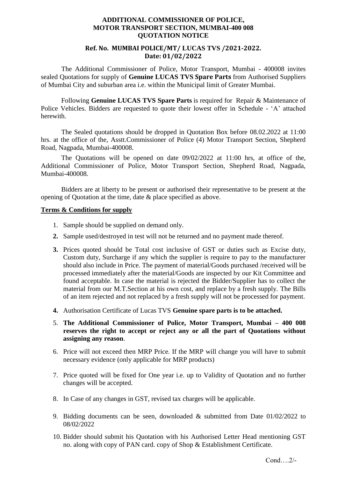#### **ADDITIONAL COMMISSIONER OF POLICE, MOTOR TRANSPORT SECTION, MUMBAI-400 008 QUOTATION NOTICE**

### **Ref. No. MUMBAI POLICE/MT/ LUCAS TVS /2021-2022. Date: 01/02/2022**

The Additional Commissioner of Police, Motor Transport, Mumbai - 400008 invites sealed Quotations for supply of **Genuine LUCAS TVS Spare Parts** from Authorised Suppliers of Mumbai City and suburban area i.e. within the Municipal limit of Greater Mumbai.

Following **Genuine LUCAS TVS Spare Parts** is required for Repair & Maintenance of Police Vehicles. Bidders are requested to quote their lowest offer in Schedule - 'A' attached herewith.

The Sealed quotations should be dropped in Quotation Box before 08.02.2022 at 11:00 hrs. at the office of the, Asstt.Commissioner of Police (4) Motor Transport Section, Shepherd Road, Nagpada, Mumbai-400008.

The Quotations will be opened on date 09/02/2022 at 11:00 hrs, at office of the, Additional Commissioner of Police, Motor Transport Section, Shepherd Road, Nagpada, Mumbai-400008.

Bidders are at liberty to be present or authorised their representative to be present at the opening of Quotation at the time, date & place specified as above.

#### **Terms & Conditions for supply**

- 1. Sample should be supplied on demand only.
- **2.** Sample used/destroyed in test will not be returned and no payment made thereof.
- **3.** Prices quoted should be Total cost inclusive of GST or duties such as Excise duty, Custom duty, Surcharge if any which the supplier is require to pay to the manufacturer should also include in Price. The payment of material/Goods purchased /received will be processed immediately after the material/Goods are inspected by our Kit Committee and found acceptable. In case the material is rejected the Bidder/Supplier has to collect the material from our M.T.Section at his own cost, and replace by a fresh supply. The Bills of an item rejected and not replaced by a fresh supply will not be processed for payment.
- **4.** Authorisation Certificate of Lucas TVS **Genuine spare parts is to be attached.**
- 5. **The Additional Commissioner of Police, Motor Transport, Mumbai – 400 008 reserves the right to accept or reject any or all the part of Quotations without assigning any reason**.
- 6. Price will not exceed then MRP Price. If the MRP will change you will have to submit necessary evidence (only applicable for MRP products)
- 7. Price quoted will be fixed for One year i.e. up to Validity of Quotation and no further changes will be accepted.
- 8. In Case of any changes in GST, revised tax charges will be applicable.
- 9. Bidding documents can be seen, downloaded & submitted from Date 01/02/2022 to 08/02/2022
- 10. Bidder should submit his Quotation with his Authorised Letter Head mentioning GST no. along with copy of PAN card. copy of Shop & Establishment Certificate.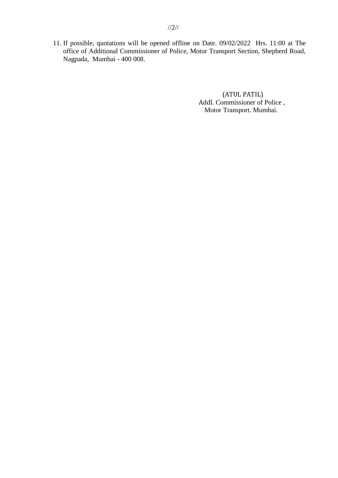11. If possible, quotations will be opened offline on Date. 09/02/2022 Hrs. 11:00 at The office of Additional Commissioner of Police, Motor Transport Section, Shepherd Road, Nagpada, Mumbai - 400 008.

> (ATUL PATIL) Addl. Commissioner of Police , Motor Transport. Mumbai.